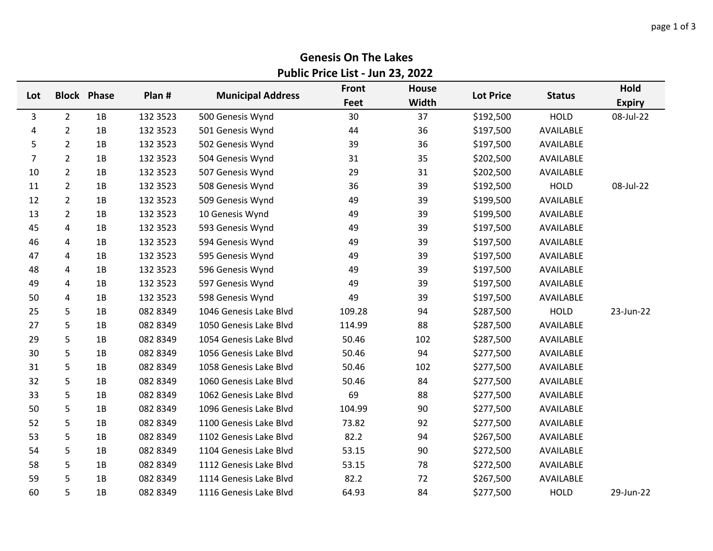## **Genesis On The Lakes Public Price List - Jun 23, 2022**

| Lot            |                | <b>Block Phase</b> | Plan #   | <b>Municipal Address</b> | <b>Front</b><br>Feet | <b>House</b><br>Width | <b>Lot Price</b> | <b>Status</b> | Hold<br><b>Expiry</b> |
|----------------|----------------|--------------------|----------|--------------------------|----------------------|-----------------------|------------------|---------------|-----------------------|
| 3              | $\overline{2}$ | 1B                 | 132 3523 | 500 Genesis Wynd         | 30                   | 37                    | \$192,500        | <b>HOLD</b>   | 08-Jul-22             |
| 4              | $\overline{2}$ | 1B                 | 132 3523 | 501 Genesis Wynd         | 44                   | 36                    | \$197,500        | AVAILABLE     |                       |
| 5              | $\overline{2}$ | 1B                 | 132 3523 | 502 Genesis Wynd         | 39                   | 36                    | \$197,500        | AVAILABLE     |                       |
| $\overline{7}$ | $\overline{2}$ | 1B                 | 132 3523 | 504 Genesis Wynd         | 31                   | 35                    | \$202,500        | AVAILABLE     |                       |
| 10             | $\overline{2}$ | 1B                 | 132 3523 | 507 Genesis Wynd         | 29                   | 31                    | \$202,500        | AVAILABLE     |                       |
| 11             | $\overline{2}$ | 1B                 | 132 3523 | 508 Genesis Wynd         | 36                   | 39                    | \$192,500        | <b>HOLD</b>   | 08-Jul-22             |
| 12             | $\overline{2}$ | 1B                 | 132 3523 | 509 Genesis Wynd         | 49                   | 39                    | \$199,500        | AVAILABLE     |                       |
| 13             | $\overline{2}$ | 1B                 | 132 3523 | 10 Genesis Wynd          | 49                   | 39                    | \$199,500        | AVAILABLE     |                       |
| 45             | 4              | 1B                 | 132 3523 | 593 Genesis Wynd         | 49                   | 39                    | \$197,500        | AVAILABLE     |                       |
| 46             | 4              | 1B                 | 132 3523 | 594 Genesis Wynd         | 49                   | 39                    | \$197,500        | AVAILABLE     |                       |
| 47             | 4              | 1B                 | 132 3523 | 595 Genesis Wynd         | 49                   | 39                    | \$197,500        | AVAILABLE     |                       |
| 48             | 4              | 1B                 | 132 3523 | 596 Genesis Wynd         | 49                   | 39                    | \$197,500        | AVAILABLE     |                       |
| 49             | 4              | 1B                 | 132 3523 | 597 Genesis Wynd         | 49                   | 39                    | \$197,500        | AVAILABLE     |                       |
| 50             | 4              | 1B                 | 132 3523 | 598 Genesis Wynd         | 49                   | 39                    | \$197,500        | AVAILABLE     |                       |
| 25             | 5              | 1B                 | 082 8349 | 1046 Genesis Lake Blvd   | 109.28               | 94                    | \$287,500        | <b>HOLD</b>   | 23-Jun-22             |
| 27             | 5              | 1B                 | 082 8349 | 1050 Genesis Lake Blvd   | 114.99               | 88                    | \$287,500        | AVAILABLE     |                       |
| 29             | 5              | 1B                 | 082 8349 | 1054 Genesis Lake Blvd   | 50.46                | 102                   | \$287,500        | AVAILABLE     |                       |
| 30             | 5              | 1B                 | 082 8349 | 1056 Genesis Lake Blvd   | 50.46                | 94                    | \$277,500        | AVAILABLE     |                       |
| 31             | 5              | 1B                 | 082 8349 | 1058 Genesis Lake Blvd   | 50.46                | 102                   | \$277,500        | AVAILABLE     |                       |
| 32             | 5              | 1B                 | 082 8349 | 1060 Genesis Lake Blvd   | 50.46                | 84                    | \$277,500        | AVAILABLE     |                       |
| 33             | 5              | 1B                 | 082 8349 | 1062 Genesis Lake Blvd   | 69                   | 88                    | \$277,500        | AVAILABLE     |                       |
| 50             | 5              | 1B                 | 082 8349 | 1096 Genesis Lake Blvd   | 104.99               | 90                    | \$277,500        | AVAILABLE     |                       |
| 52             | 5              | 1B                 | 082 8349 | 1100 Genesis Lake Blvd   | 73.82                | 92                    | \$277,500        | AVAILABLE     |                       |
| 53             | 5              | 1B                 | 082 8349 | 1102 Genesis Lake Blvd   | 82.2                 | 94                    | \$267,500        | AVAILABLE     |                       |
| 54             | 5              | 1B                 | 082 8349 | 1104 Genesis Lake Blvd   | 53.15                | 90                    | \$272,500        | AVAILABLE     |                       |
| 58             | 5              | 1B                 | 082 8349 | 1112 Genesis Lake Blvd   | 53.15                | 78                    | \$272,500        | AVAILABLE     |                       |
| 59             | 5              | 1B                 | 082 8349 | 1114 Genesis Lake Blvd   | 82.2                 | 72                    | \$267,500        | AVAILABLE     |                       |
| 60             | 5              | 1B                 | 082 8349 | 1116 Genesis Lake Blvd   | 64.93                | 84                    | \$277,500        | <b>HOLD</b>   | 29-Jun-22             |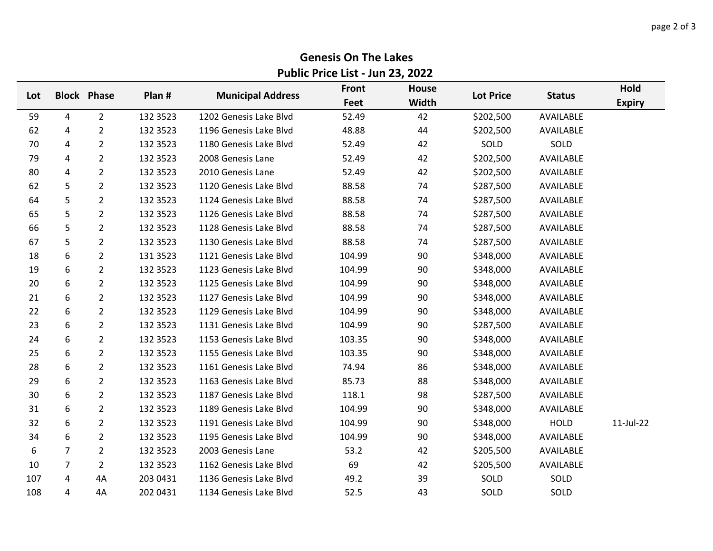## **Genesis On The Lakes Public Price List - Jun 23, 2022**

| Lot |                | <b>Block Phase</b> | Plan #   | <b>Municipal Address</b> | Front  | <b>House</b> |                  |               | Hold          |
|-----|----------------|--------------------|----------|--------------------------|--------|--------------|------------------|---------------|---------------|
|     |                |                    |          |                          | Feet   | Width        | <b>Lot Price</b> | <b>Status</b> | <b>Expiry</b> |
| 59  | 4              | $\overline{2}$     | 132 3523 | 1202 Genesis Lake Blvd   | 52.49  | 42           | \$202,500        | AVAILABLE     |               |
| 62  | 4              | $\overline{2}$     | 132 3523 | 1196 Genesis Lake Blvd   | 48.88  | 44           | \$202,500        | AVAILABLE     |               |
| 70  | 4              | $\overline{2}$     | 132 3523 | 1180 Genesis Lake Blvd   | 52.49  | 42           | SOLD             | SOLD          |               |
| 79  | 4              | $\overline{2}$     | 132 3523 | 2008 Genesis Lane        | 52.49  | 42           | \$202,500        | AVAILABLE     |               |
| 80  | 4              | $\overline{2}$     | 132 3523 | 2010 Genesis Lane        | 52.49  | 42           | \$202,500        | AVAILABLE     |               |
| 62  | 5              | $\overline{2}$     | 132 3523 | 1120 Genesis Lake Blvd   | 88.58  | 74           | \$287,500        | AVAILABLE     |               |
| 64  | 5              | $\overline{2}$     | 132 3523 | 1124 Genesis Lake Blvd   | 88.58  | 74           | \$287,500        | AVAILABLE     |               |
| 65  | 5              | $\overline{2}$     | 132 3523 | 1126 Genesis Lake Blvd   | 88.58  | 74           | \$287,500        | AVAILABLE     |               |
| 66  | 5              | $\overline{2}$     | 132 3523 | 1128 Genesis Lake Blvd   | 88.58  | 74           | \$287,500        | AVAILABLE     |               |
| 67  | 5              | $\overline{2}$     | 132 3523 | 1130 Genesis Lake Blvd   | 88.58  | 74           | \$287,500        | AVAILABLE     |               |
| 18  | 6              | $\overline{2}$     | 131 3523 | 1121 Genesis Lake Blvd   | 104.99 | 90           | \$348,000        | AVAILABLE     |               |
| 19  | 6              | $\overline{2}$     | 132 3523 | 1123 Genesis Lake Blvd   | 104.99 | 90           | \$348,000        | AVAILABLE     |               |
| 20  | 6              | $\overline{2}$     | 132 3523 | 1125 Genesis Lake Blvd   | 104.99 | 90           | \$348,000        | AVAILABLE     |               |
| 21  | 6              | $\overline{2}$     | 132 3523 | 1127 Genesis Lake Blvd   | 104.99 | 90           | \$348,000        | AVAILABLE     |               |
| 22  | 6              | $\overline{2}$     | 132 3523 | 1129 Genesis Lake Blvd   | 104.99 | 90           | \$348,000        | AVAILABLE     |               |
| 23  | 6              | $\overline{2}$     | 132 3523 | 1131 Genesis Lake Blvd   | 104.99 | 90           | \$287,500        | AVAILABLE     |               |
| 24  | 6              | $\overline{2}$     | 132 3523 | 1153 Genesis Lake Blvd   | 103.35 | 90           | \$348,000        | AVAILABLE     |               |
| 25  | 6              | $\overline{2}$     | 132 3523 | 1155 Genesis Lake Blvd   | 103.35 | 90           | \$348,000        | AVAILABLE     |               |
| 28  | 6              | $\overline{2}$     | 132 3523 | 1161 Genesis Lake Blvd   | 74.94  | 86           | \$348,000        | AVAILABLE     |               |
| 29  | 6              | $\overline{2}$     | 132 3523 | 1163 Genesis Lake Blvd   | 85.73  | 88           | \$348,000        | AVAILABLE     |               |
| 30  | 6              | $\overline{2}$     | 132 3523 | 1187 Genesis Lake Blvd   | 118.1  | 98           | \$287,500        | AVAILABLE     |               |
| 31  | 6              | $\overline{2}$     | 132 3523 | 1189 Genesis Lake Blvd   | 104.99 | 90           | \$348,000        | AVAILABLE     |               |
| 32  | 6              | $\overline{2}$     | 132 3523 | 1191 Genesis Lake Blvd   | 104.99 | 90           | \$348,000        | <b>HOLD</b>   | 11-Jul-22     |
| 34  | 6              | $\overline{2}$     | 132 3523 | 1195 Genesis Lake Blvd   | 104.99 | 90           | \$348,000        | AVAILABLE     |               |
| 6   | $\overline{7}$ | $\overline{2}$     | 132 3523 | 2003 Genesis Lane        | 53.2   | 42           | \$205,500        | AVAILABLE     |               |
| 10  | 7              | $\overline{2}$     | 132 3523 | 1162 Genesis Lake Blvd   | 69     | 42           | \$205,500        | AVAILABLE     |               |
| 107 | 4              | 4A                 | 203 0431 | 1136 Genesis Lake Blvd   | 49.2   | 39           | SOLD             | SOLD          |               |
| 108 | 4              | 4A                 | 202 0431 | 1134 Genesis Lake Blvd   | 52.5   | 43           | SOLD             | SOLD          |               |